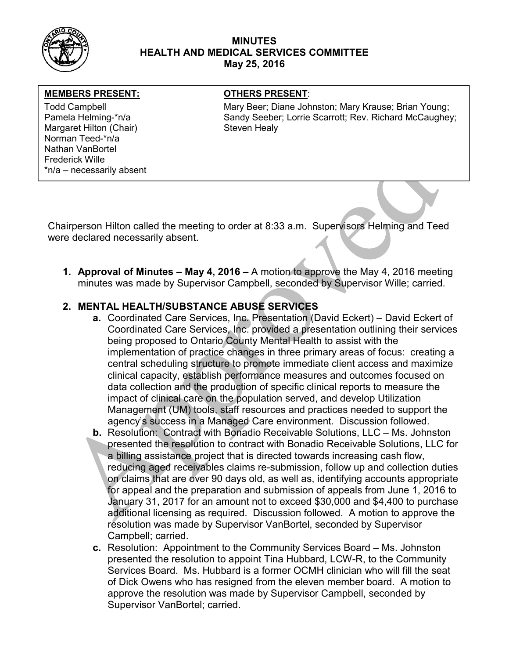

### MINUTES HEALTH AND MEDICAL SERVICES COMMITTEE May 25, 2016

### MEMBERS PRESENT: **The OTHERS PRESENT:**

Margaret Hilton (Chair) Steven Healy Norman Teed-\*n/a Nathan VanBortel Frederick Wille \*n/a – necessarily absent

Todd Campbell **Mary Beer; Diane Johnston; Mary Krause**; Brian Young; Mary Krause; Brian Young; Pamela Helming-\*n/a The Sandy Seeber; Lorrie Scarrott; Rev. Richard McCaughey;

Chairperson Hilton called the meeting to order at 8:33 a.m. Supervisors Helming and Teed were declared necessarily absent.

1. Approval of Minutes – May 4, 2016 – A motion to approve the May 4, 2016 meeting minutes was made by Supervisor Campbell, seconded by Supervisor Wille; carried.

## 2. MENTAL HEALTH/SUBSTANCE ABUSE SERVICES

- a. Coordinated Care Services, Inc. Presentation (David Eckert) David Eckert of Coordinated Care Services, Inc. provided a presentation outlining their services being proposed to Ontario County Mental Health to assist with the implementation of practice changes in three primary areas of focus: creating a central scheduling structure to promote immediate client access and maximize clinical capacity, establish performance measures and outcomes focused on data collection and the production of specific clinical reports to measure the impact of clinical care on the population served, and develop Utilization Management (UM) tools, staff resources and practices needed to support the agency's success in a Managed Care environment. Discussion followed.
- b. Resolution: Contract with Bonadio Receivable Solutions, LLC Ms. Johnston presented the resolution to contract with Bonadio Receivable Solutions, LLC for a billing assistance project that is directed towards increasing cash flow, reducing aged receivables claims re-submission, follow up and collection duties on claims that are over 90 days old, as well as, identifying accounts appropriate for appeal and the preparation and submission of appeals from June 1, 2016 to January 31, 2017 for an amount not to exceed \$30,000 and \$4,400 to purchase additional licensing as required. Discussion followed. A motion to approve the resolution was made by Supervisor VanBortel, seconded by Supervisor Campbell; carried.
- c. Resolution: Appointment to the Community Services Board Ms. Johnston presented the resolution to appoint Tina Hubbard, LCW-R, to the Community Services Board. Ms. Hubbard is a former OCMH clinician who will fill the seat of Dick Owens who has resigned from the eleven member board. A motion to approve the resolution was made by Supervisor Campbell, seconded by Supervisor VanBortel; carried.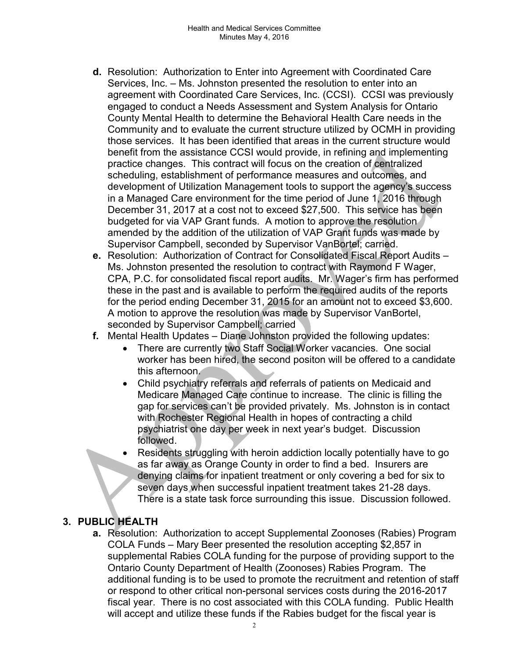- d. Resolution: Authorization to Enter into Agreement with Coordinated Care Services, Inc. – Ms. Johnston presented the resolution to enter into an agreement with Coordinated Care Services, Inc. (CCSI). CCSI was previously engaged to conduct a Needs Assessment and System Analysis for Ontario County Mental Health to determine the Behavioral Health Care needs in the Community and to evaluate the current structure utilized by OCMH in providing those services. It has been identified that areas in the current structure would benefit from the assistance CCSI would provide, in refining and implementing practice changes. This contract will focus on the creation of centralized scheduling, establishment of performance measures and outcomes, and development of Utilization Management tools to support the agency's success in a Managed Care environment for the time period of June 1, 2016 through December 31, 2017 at a cost not to exceed \$27,500. This service has been budgeted for via VAP Grant funds. A motion to approve the resolution amended by the addition of the utilization of VAP Grant funds was made by Supervisor Campbell, seconded by Supervisor VanBortel; carried.
- e. Resolution: Authorization of Contract for Consolidated Fiscal Report Audits Ms. Johnston presented the resolution to contract with Raymond F Wager, CPA, P.C. for consolidated fiscal report audits. Mr. Wager's firm has performed these in the past and is available to perform the required audits of the reports for the period ending December 31, 2015 for an amount not to exceed \$3,600. A motion to approve the resolution was made by Supervisor VanBortel, seconded by Supervisor Campbell; carried
- f. Mental Health Updates Diane Johnston provided the following updates:
	- There are currently two Staff Social Worker vacancies. One social worker has been hired, the second positon will be offered to a candidate this afternoon.
	- Child psychiatry referrals and referrals of patients on Medicaid and Medicare Managed Care continue to increase. The clinic is filling the gap for services can't be provided privately. Ms. Johnston is in contact with Rochester Regional Health in hopes of contracting a child psychiatrist one day per week in next year's budget. Discussion followed.
	- Residents struggling with heroin addiction locally potentially have to go as far away as Orange County in order to find a bed. Insurers are denying claims for inpatient treatment or only covering a bed for six to seven days when successful inpatient treatment takes 21-28 days. There is a state task force surrounding this issue. Discussion followed.

# 3. PUBLIC HEALTH

a. Resolution: Authorization to accept Supplemental Zoonoses (Rabies) Program COLA Funds – Mary Beer presented the resolution accepting \$2,857 in supplemental Rabies COLA funding for the purpose of providing support to the Ontario County Department of Health (Zoonoses) Rabies Program. The additional funding is to be used to promote the recruitment and retention of staff or respond to other critical non-personal services costs during the 2016-2017 fiscal year. There is no cost associated with this COLA funding. Public Health will accept and utilize these funds if the Rabies budget for the fiscal year is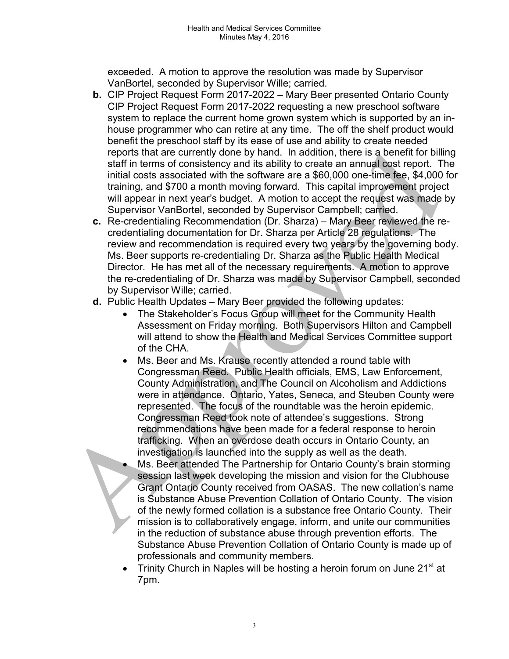exceeded. A motion to approve the resolution was made by Supervisor VanBortel, seconded by Supervisor Wille; carried.

- b. CIP Project Request Form 2017-2022 Mary Beer presented Ontario County CIP Project Request Form 2017-2022 requesting a new preschool software system to replace the current home grown system which is supported by an inhouse programmer who can retire at any time. The off the shelf product would benefit the preschool staff by its ease of use and ability to create needed reports that are currently done by hand. In addition, there is a benefit for billing staff in terms of consistency and its ability to create an annual cost report. The initial costs associated with the software are a \$60,000 one-time fee, \$4,000 for training, and \$700 a month moving forward. This capital improvement project will appear in next year's budget. A motion to accept the request was made by Supervisor VanBortel, seconded by Supervisor Campbell; carried.
- c. Re-credentialing Recommendation (Dr. Sharza) Mary Beer reviewed the recredentialing documentation for Dr. Sharza per Article 28 regulations. The review and recommendation is required every two years by the governing body. Ms. Beer supports re-credentialing Dr. Sharza as the Public Health Medical Director. He has met all of the necessary requirements. A motion to approve the re-credentialing of Dr. Sharza was made by Supervisor Campbell, seconded by Supervisor Wille; carried.
- d. Public Health Updates Mary Beer provided the following updates:
	- The Stakeholder's Focus Group will meet for the Community Health Assessment on Friday morning. Both Supervisors Hilton and Campbell will attend to show the Health and Medical Services Committee support of the CHA.
	- Ms. Beer and Ms. Krause recently attended a round table with Congressman Reed. Public Health officials, EMS, Law Enforcement, County Administration, and The Council on Alcoholism and Addictions were in attendance. Ontario, Yates, Seneca, and Steuben County were represented. The focus of the roundtable was the heroin epidemic. Congressman Reed took note of attendee's suggestions. Strong recommendations have been made for a federal response to heroin trafficking. When an overdose death occurs in Ontario County, an investigation is launched into the supply as well as the death.
		- Ms. Beer attended The Partnership for Ontario County's brain storming session last week developing the mission and vision for the Clubhouse Grant Ontario County received from OASAS. The new collation's name is Substance Abuse Prevention Collation of Ontario County. The vision of the newly formed collation is a substance free Ontario County. Their mission is to collaboratively engage, inform, and unite our communities in the reduction of substance abuse through prevention efforts. The Substance Abuse Prevention Collation of Ontario County is made up of professionals and community members.
	- Trinity Church in Naples will be hosting a heroin forum on June 21<sup>st</sup> at 7pm.